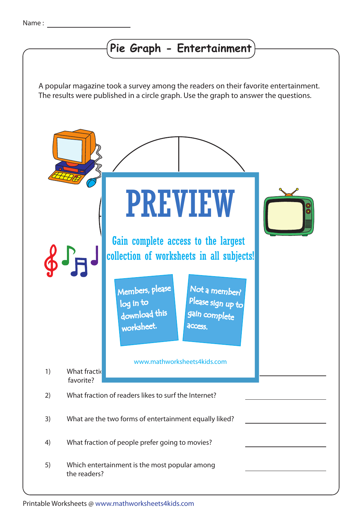